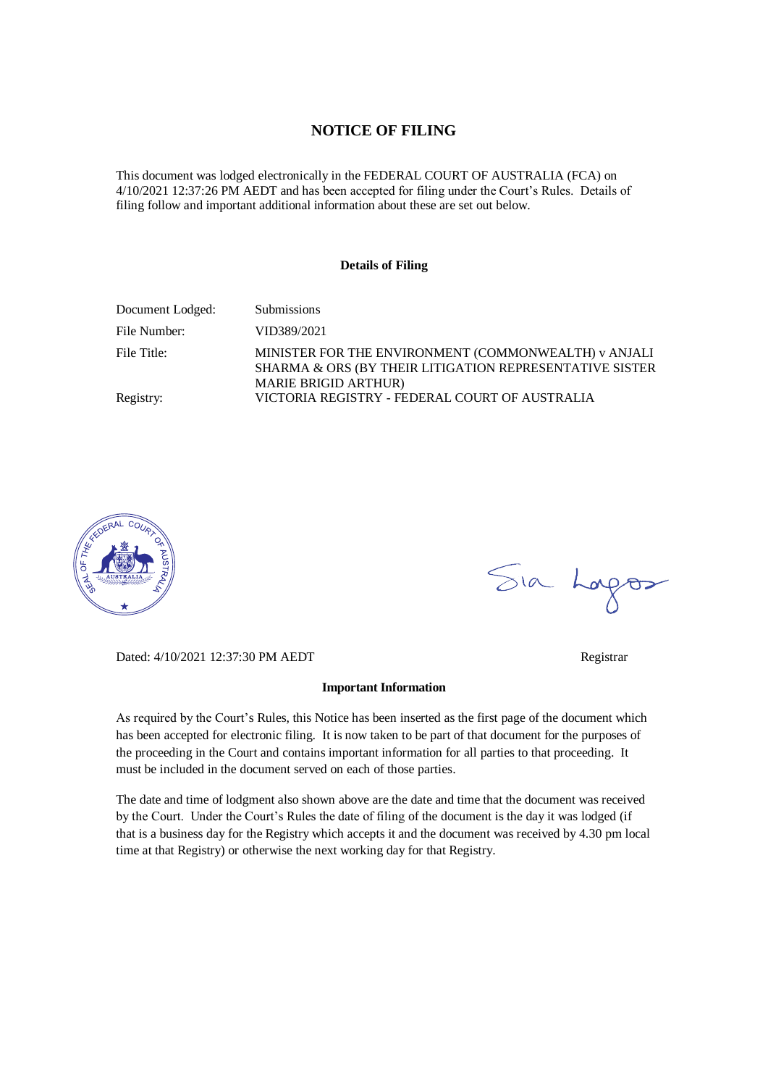#### **NOTICE OF FILING**

This document was lodged electronically in the FEDERAL COURT OF AUSTRALIA (FCA) on 4/10/2021 12:37:26 PM AEDT and has been accepted for filing under the Court's Rules. Details of filing follow and important additional information about these are set out below.

#### **Details of Filing**

| Document Lodged: | <b>Submissions</b>                                                                                                                             |
|------------------|------------------------------------------------------------------------------------------------------------------------------------------------|
| File Number:     | VID389/2021                                                                                                                                    |
| File Title:      | MINISTER FOR THE ENVIRONMENT (COMMONWEALTH) v ANJALI<br>SHARMA & ORS (BY THEIR LITIGATION REPRESENTATIVE SISTER<br><b>MARIE BRIGID ARTHUR)</b> |
| Registry:        | VICTORIA REGISTRY - FEDERAL COURT OF AUSTRALIA                                                                                                 |



Sia Lorgos

Dated: 4/10/2021 12:37:30 PM AEDT Registrar

#### **Important Information**

As required by the Court's Rules, this Notice has been inserted as the first page of the document which has been accepted for electronic filing. It is now taken to be part of that document for the purposes of the proceeding in the Court and contains important information for all parties to that proceeding. It must be included in the document served on each of those parties.

The date and time of lodgment also shown above are the date and time that the document was received by the Court. Under the Court's Rules the date of filing of the document is the day it was lodged (if that is a business day for the Registry which accepts it and the document was received by 4.30 pm local time at that Registry) or otherwise the next working day for that Registry.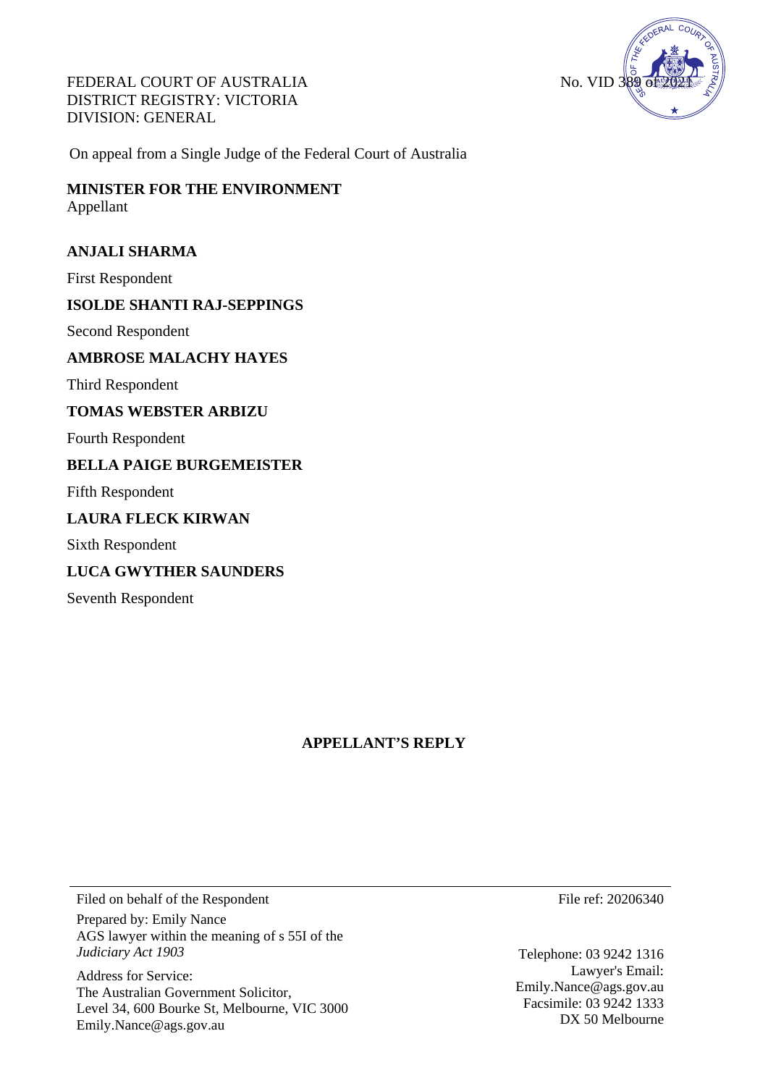FEDERAL COURT OF AUSTRALIA DISTRICT REGISTRY: VICTORIA DIVISION: GENERAL



On appeal from a Single Judge of the Federal Court of Australia

**MINISTER FOR THE ENVIRONMENT**  Appellant

#### **ANJALI SHARMA**

First Respondent

### **ISOLDE SHANTI RAJ-SEPPINGS**

Second Respondent

#### **AMBROSE MALACHY HAYES**

Third Respondent

#### **TOMAS WEBSTER ARBIZU**

Fourth Respondent

## **BELLA PAIGE BURGEMEISTER**

Fifth Respondent

### **LAURA FLECK KIRWAN**

Sixth Respondent

#### **LUCA GWYTHER SAUNDERS**

Seventh Respondent

## **APPELLANT'S REPLY**

Filed on behalf of the Respondent

Prepared by: Emily Nance AGS lawyer within the meaning of s 55I of the *Judiciary Act 1903*

Address for Service: The Australian Government Solicitor, Level 34, 600 Bourke St, Melbourne, VIC 3000 Emily.Nance@ags.gov.au

File ref: 20206340

Telephone: 03 9242 1316 Lawyer's Email: Emily.Nance@ags.gov.au Facsimile: 03 9242 1333 DX 50 Melbourne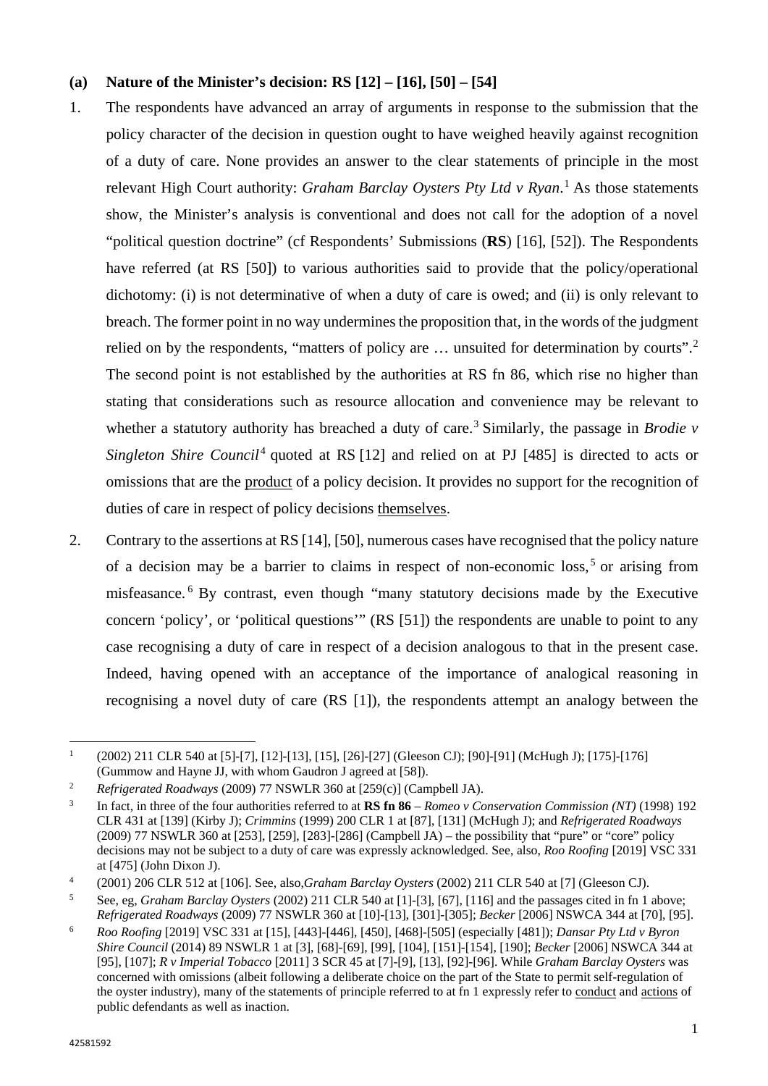### **(a) Nature of the Minister's decision: RS [12] – [16], [50] – [54]**

- 1. The respondents have advanced an array of arguments in response to the submission that the policy character of the decision in question ought to have weighed heavily against recognition of a duty of care. None provides an answer to the clear statements of principle in the most relevant High Court authority: *Graham Barclay Oysters Pty Ltd v Ryan*. [1](#page-2-0) As those statements show, the Minister's analysis is conventional and does not call for the adoption of a novel "political question doctrine" (cf Respondents' Submissions (**RS**) [16], [52]). The Respondents have referred (at RS [50]) to various authorities said to provide that the policy/operational dichotomy: (i) is not determinative of when a duty of care is owed; and (ii) is only relevant to breach. The former point in no way undermines the proposition that, in the words of the judgment relied on by the respondents, "matters of policy are ... unsuited for determination by courts".<sup>[2](#page-2-1)</sup> The second point is not established by the authorities at RS fn 86, which rise no higher than stating that considerations such as resource allocation and convenience may be relevant to whether a statutory authority has breached a duty of care.<sup>[3](#page-2-2)</sup> Similarly, the passage in *Brodie v Singleton Shire Council*<sup>[4](#page-2-3)</sup> quoted at RS [12] and relied on at PJ [485] is directed to acts or omissions that are the product of a policy decision. It provides no support for the recognition of duties of care in respect of policy decisions themselves.
- 2. Contrary to the assertions at RS [14], [50], numerous cases have recognised that the policy nature of a decision may be a barrier to claims in respect of non-economic loss, [5](#page-2-4) or arising from misfeasance. [6](#page-2-5) By contrast, even though "many statutory decisions made by the Executive concern 'policy', or 'political questions'" (RS [51]) the respondents are unable to point to any case recognising a duty of care in respect of a decision analogous to that in the present case. Indeed, having opened with an acceptance of the importance of analogical reasoning in recognising a novel duty of care (RS [1]), the respondents attempt an analogy between the

<span id="page-2-0"></span> $\overline{a}$ <sup>1</sup> (2002) 211 CLR 540 at [5]-[7], [12]-[13], [15], [26]-[27] (Gleeson CJ); [90]-[91] (McHugh J); [175]-[176] (Gummow and Hayne JJ, with whom Gaudron J agreed at [58]).

<span id="page-2-1"></span><sup>2</sup> *Refrigerated Roadways* (2009) 77 NSWLR 360 at [259(c)] (Campbell JA).

<span id="page-2-2"></span><sup>3</sup> In fact, in three of the four authorities referred to at **RS fn 86** – *Romeo v Conservation Commission (NT)* (1998) 192 CLR 431 at [139] (Kirby J); *Crimmins* (1999) 200 CLR 1 at [87], [131] (McHugh J); and *Refrigerated Roadways* (2009) 77 NSWLR 360 at [253], [259], [283]-[286] (Campbell JA) – the possibility that "pure" or "core" policy decisions may not be subject to a duty of care was expressly acknowledged. See, also, *Roo Roofing* [2019] VSC 331 at [475] (John Dixon J).

<span id="page-2-3"></span><sup>4</sup> (2001) 206 CLR 512 at [106]. See, also,*Graham Barclay Oysters* (2002) 211 CLR 540 at [7] (Gleeson CJ).

<span id="page-2-4"></span><sup>5</sup> See, eg, *Graham Barclay Oysters* (2002) 211 CLR 540 at [1]-[3], [67], [116] and the passages cited in fn 1 above; *Refrigerated Roadways* (2009) 77 NSWLR 360 at [10]-[13], [301]-[305]; *Becker* [2006] NSWCA 344 at [70], [95].

<span id="page-2-5"></span><sup>6</sup> *Roo Roofing* [2019] VSC 331 at [15], [443]-[446], [450], [468]-[505] (especially [481]); *Dansar Pty Ltd v Byron Shire Council* (2014) 89 NSWLR 1 at [3], [68]-[69], [99], [104], [151]-[154], [190]; *Becker* [2006] NSWCA 344 at [95], [107]; *R v Imperial Tobacco* [2011] 3 SCR 45 at [7]-[9], [13], [92]-[96]. While *Graham Barclay Oysters* was concerned with omissions (albeit following a deliberate choice on the part of the State to permit self-regulation of the oyster industry), many of the statements of principle referred to at fn 1 expressly refer to conduct and actions of public defendants as well as inaction.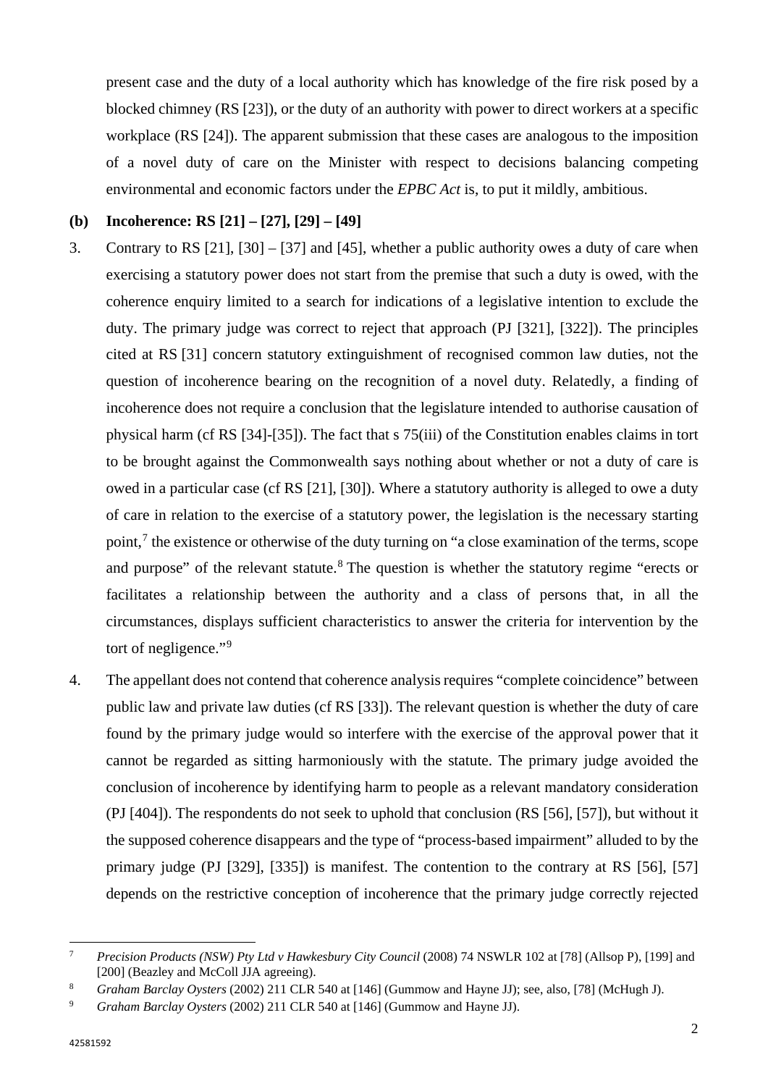present case and the duty of a local authority which has knowledge of the fire risk posed by a blocked chimney (RS [23]), or the duty of an authority with power to direct workers at a specific workplace (RS [24]). The apparent submission that these cases are analogous to the imposition of a novel duty of care on the Minister with respect to decisions balancing competing environmental and economic factors under the *EPBC Act* is, to put it mildly, ambitious.

## **(b) Incoherence: RS [21] – [27], [29] – [49]**

- 3. Contrary to RS [21], [30] [37] and [45], whether a public authority owes a duty of care when exercising a statutory power does not start from the premise that such a duty is owed, with the coherence enquiry limited to a search for indications of a legislative intention to exclude the duty. The primary judge was correct to reject that approach (PJ [321], [322]). The principles cited at RS [31] concern statutory extinguishment of recognised common law duties, not the question of incoherence bearing on the recognition of a novel duty. Relatedly, a finding of incoherence does not require a conclusion that the legislature intended to authorise causation of physical harm (cf RS [34]-[35]). The fact that s 75(iii) of the Constitution enables claims in tort to be brought against the Commonwealth says nothing about whether or not a duty of care is owed in a particular case (cf RS [21], [30]). Where a statutory authority is alleged to owe a duty of care in relation to the exercise of a statutory power, the legislation is the necessary starting point,[7](#page-3-0) the existence or otherwise of the duty turning on "a close examination of the terms, scope and purpose" of the relevant statute.<sup>[8](#page-3-1)</sup> The question is whether the statutory regime "erects or facilitates a relationship between the authority and a class of persons that, in all the circumstances, displays sufficient characteristics to answer the criteria for intervention by the tort of negligence."<sup>[9](#page-3-2)</sup>
- 4. The appellant does not contend that coherence analysis requires "complete coincidence" between public law and private law duties (cf RS [33]). The relevant question is whether the duty of care found by the primary judge would so interfere with the exercise of the approval power that it cannot be regarded as sitting harmoniously with the statute. The primary judge avoided the conclusion of incoherence by identifying harm to people as a relevant mandatory consideration (PJ [404]). The respondents do not seek to uphold that conclusion (RS [56], [57]), but without it the supposed coherence disappears and the type of "process-based impairment" alluded to by the primary judge (PJ [329], [335]) is manifest. The contention to the contrary at RS [56], [57] depends on the restrictive conception of incoherence that the primary judge correctly rejected

<span id="page-3-0"></span> $\overline{z}$ <sup>7</sup> *Precision Products (NSW) Pty Ltd v Hawkesbury City Council* (2008) 74 NSWLR 102 at [78] (Allsop P), [199] and [200] (Beazley and McColl JJA agreeing).

<span id="page-3-1"></span><sup>8</sup> *Graham Barclay Oysters* (2002) 211 CLR 540 at [146] (Gummow and Hayne JJ); see, also, [78] (McHugh J).

<span id="page-3-2"></span><sup>9</sup> *Graham Barclay Oysters* (2002) 211 CLR 540 at [146] (Gummow and Hayne JJ).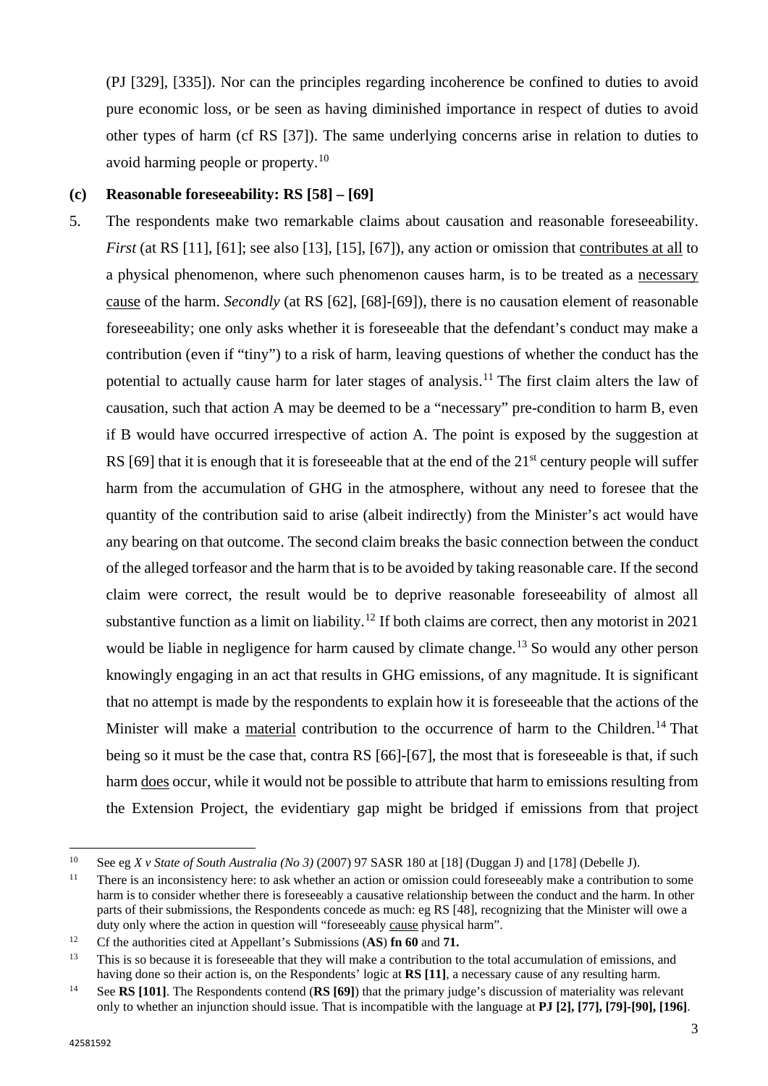(PJ [329], [335]). Nor can the principles regarding incoherence be confined to duties to avoid pure economic loss, or be seen as having diminished importance in respect of duties to avoid other types of harm (cf RS [37]). The same underlying concerns arise in relation to duties to avoid harming people or property.[10](#page-4-0)

#### **(c) Reasonable foreseeability: RS [58] – [69]**

5. The respondents make two remarkable claims about causation and reasonable foreseeability. *First* (at RS [11], [61]; see also [13], [15], [67]), any action or omission that contributes at all to a physical phenomenon, where such phenomenon causes harm, is to be treated as a necessary cause of the harm. *Secondly* (at RS [62], [68]-[69]), there is no causation element of reasonable foreseeability; one only asks whether it is foreseeable that the defendant's conduct may make a contribution (even if "tiny") to a risk of harm, leaving questions of whether the conduct has the potential to actually cause harm for later stages of analysis.<sup>[11](#page-4-1)</sup> The first claim alters the law of causation, such that action A may be deemed to be a "necessary" pre-condition to harm B, even if B would have occurred irrespective of action A. The point is exposed by the suggestion at RS [69] that it is enough that it is foreseeable that at the end of the  $21<sup>st</sup>$  century people will suffer harm from the accumulation of GHG in the atmosphere, without any need to foresee that the quantity of the contribution said to arise (albeit indirectly) from the Minister's act would have any bearing on that outcome. The second claim breaks the basic connection between the conduct of the alleged torfeasor and the harm that is to be avoided by taking reasonable care. If the second claim were correct, the result would be to deprive reasonable foreseeability of almost all substantive function as a limit on liability.<sup>[12](#page-4-2)</sup> If both claims are correct, then any motorist in 2021 would be liable in negligence for harm caused by climate change.<sup>[13](#page-4-3)</sup> So would any other person knowingly engaging in an act that results in GHG emissions, of any magnitude. It is significant that no attempt is made by the respondents to explain how it is foreseeable that the actions of the Minister will make a material contribution to the occurrence of harm to the Children.<sup>[14](#page-4-4)</sup> That being so it must be the case that, contra RS [66]-[67], the most that is foreseeable is that, if such harm does occur, while it would not be possible to attribute that harm to emissions resulting from the Extension Project, the evidentiary gap might be bridged if emissions from that project

 $\overline{a}$ 

<span id="page-4-0"></span><sup>10</sup> See eg *X v State of South Australia (No 3)* (2007) 97 SASR 180 at [18] (Duggan J) and [178] (Debelle J).

<span id="page-4-1"></span><sup>&</sup>lt;sup>11</sup> There is an inconsistency here: to ask whether an action or omission could foreseeably make a contribution to some harm is to consider whether there is foreseeably a causative relationship between the conduct and the harm. In other parts of their submissions, the Respondents concede as much: eg RS [48], recognizing that the Minister will owe a duty only where the action in question will "foreseeably cause physical harm".

<span id="page-4-2"></span><sup>12</sup> Cf the authorities cited at Appellant's Submissions (**AS**) **fn 60** and **71.**

<span id="page-4-3"></span><sup>&</sup>lt;sup>13</sup> This is so because it is foreseeable that they will make a contribution to the total accumulation of emissions, and having done so their action is, on the Respondents' logic at **RS [11]**, a necessary cause of any resulting harm.

<span id="page-4-4"></span><sup>14</sup> See **RS [101]**. The Respondents contend (**RS [69]**) that the primary judge's discussion of materiality was relevant only to whether an injunction should issue. That is incompatible with the language at **PJ [2], [77], [79]-[90], [196]**.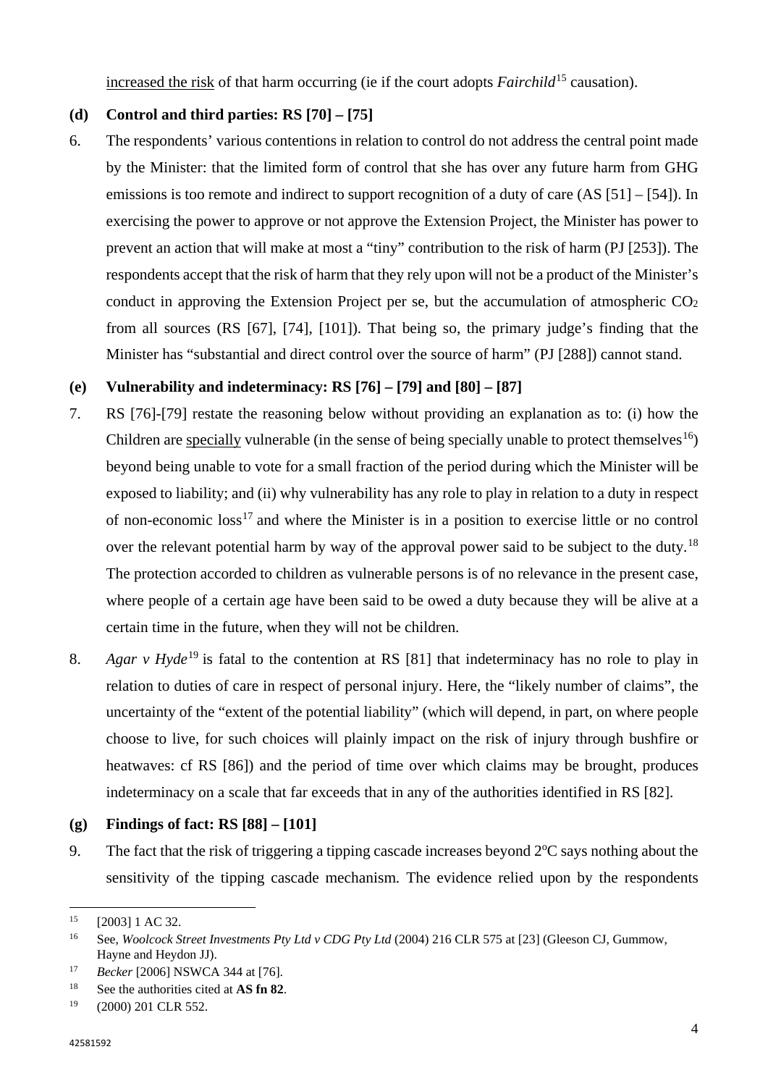increased the risk of that harm occurring (ie if the court adopts *Fairchild*[15](#page-5-0) causation).

# **(d) Control and third parties: RS [70] – [75]**

6. The respondents' various contentions in relation to control do not address the central point made by the Minister: that the limited form of control that she has over any future harm from GHG emissions is too remote and indirect to support recognition of a duty of care (AS [51] – [54]). In exercising the power to approve or not approve the Extension Project, the Minister has power to prevent an action that will make at most a "tiny" contribution to the risk of harm (PJ [253]). The respondents accept that the risk of harm that they rely upon will not be a product of the Minister's conduct in approving the Extension Project per se, but the accumulation of atmospheric  $CO<sub>2</sub>$ from all sources (RS [67], [74], [101]). That being so, the primary judge's finding that the Minister has "substantial and direct control over the source of harm" (PJ [288]) cannot stand.

# **(e) Vulnerability and indeterminacy: RS [76] – [79] and [80] – [87]**

- 7. RS [76]-[79] restate the reasoning below without providing an explanation as to: (i) how the Children are specially vulnerable (in the sense of being specially unable to protect themselves<sup>16</sup>) beyond being unable to vote for a small fraction of the period during which the Minister will be exposed to liability; and (ii) why vulnerability has any role to play in relation to a duty in respect of non-economic loss<sup>[17](#page-5-2)</sup> and where the Minister is in a position to exercise little or no control over the relevant potential harm by way of the approval power said to be subject to the duty.<sup>[18](#page-5-3)</sup> The protection accorded to children as vulnerable persons is of no relevance in the present case, where people of a certain age have been said to be owed a duty because they will be alive at a certain time in the future, when they will not be children.
- 8. *Agar v Hyde*<sup>[19](#page-5-4)</sup> is fatal to the contention at RS [81] that indeterminacy has no role to play in relation to duties of care in respect of personal injury. Here, the "likely number of claims", the uncertainty of the "extent of the potential liability" (which will depend, in part, on where people choose to live, for such choices will plainly impact on the risk of injury through bushfire or heatwaves: cf RS [86]) and the period of time over which claims may be brought, produces indeterminacy on a scale that far exceeds that in any of the authorities identified in RS [82].

## **(g) Findings of fact: RS [88] – [101]**

9. The fact that the risk of triggering a tipping cascade increases beyond  $2^{\circ}C$  says nothing about the sensitivity of the tipping cascade mechanism. The evidence relied upon by the respondents

<span id="page-5-0"></span> $\overline{a}$ <sup>15</sup> [2003] 1 AC 32.

<span id="page-5-1"></span><sup>16</sup> See, *Woolcock Street Investments Pty Ltd v CDG Pty Ltd* (2004) 216 CLR 575 at [23] (Gleeson CJ, Gummow, Hayne and Heydon JJ).

<span id="page-5-2"></span><sup>17</sup> *Becker* [2006] NSWCA 344 at [76].

<span id="page-5-3"></span><sup>18</sup> See the authorities cited at **AS fn 82**.

<span id="page-5-4"></span> $19$  (2000) 201 CLR 552.